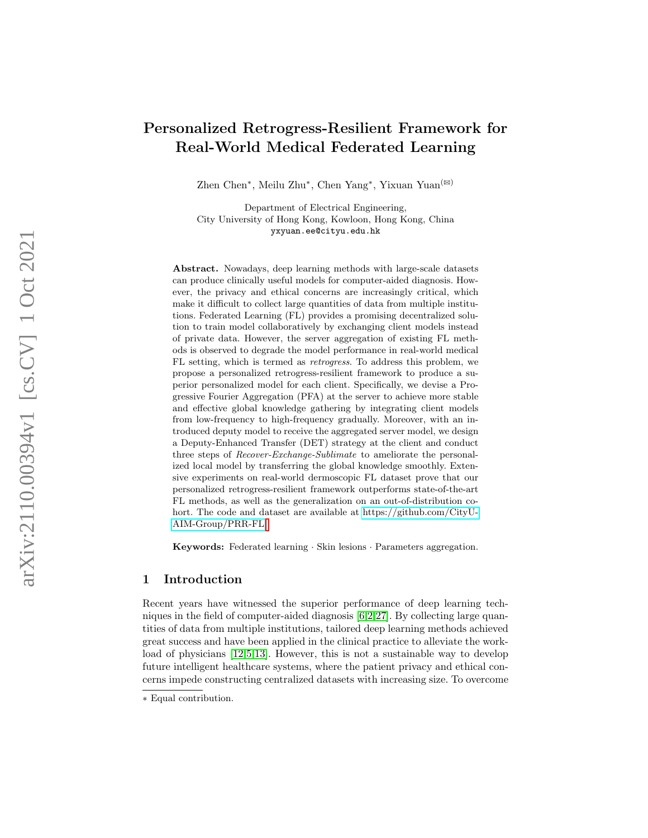# Personalized Retrogress-Resilient Framework for Real-World Medical Federated Learning

Zhen Chen<sup>\*</sup>, Meilu Zhu<sup>\*</sup>, Chen Yang<sup>\*</sup>, Yixuan Yuan<sup>(⊠)</sup>

Department of Electrical Engineering, City University of Hong Kong, Kowloon, Hong Kong, China yxyuan.ee@cityu.edu.hk

Abstract. Nowadays, deep learning methods with large-scale datasets can produce clinically useful models for computer-aided diagnosis. However, the privacy and ethical concerns are increasingly critical, which make it difficult to collect large quantities of data from multiple institutions. Federated Learning (FL) provides a promising decentralized solution to train model collaboratively by exchanging client models instead of private data. However, the server aggregation of existing FL methods is observed to degrade the model performance in real-world medical FL setting, which is termed as retrogress. To address this problem, we propose a personalized retrogress-resilient framework to produce a superior personalized model for each client. Specifically, we devise a Progressive Fourier Aggregation (PFA) at the server to achieve more stable and effective global knowledge gathering by integrating client models from low-frequency to high-frequency gradually. Moreover, with an introduced deputy model to receive the aggregated server model, we design a Deputy-Enhanced Transfer (DET) strategy at the client and conduct three steps of Recover-Exchange-Sublimate to ameliorate the personalized local model by transferring the global knowledge smoothly. Extensive experiments on real-world dermoscopic FL dataset prove that our personalized retrogress-resilient framework outperforms state-of-the-art FL methods, as well as the generalization on an out-of-distribution cohort. The code and dataset are available at [https://github.com/CityU-](https://github.com/CityU-AIM-Group/PRR-FL)[AIM-Group/PRR-FL](https://github.com/CityU-AIM-Group/PRR-FL)[.](#page-0-0)

Keywords: Federated learning · Skin lesions · Parameters aggregation.

# 1 Introduction

Recent years have witnessed the superior performance of deep learning techniques in the field of computer-aided diagnosis [\[6,](#page-8-0)[2](#page-8-1)[,27\]](#page-9-0). By collecting large quantities of data from multiple institutions, tailored deep learning methods achieved great success and have been applied in the clinical practice to alleviate the workload of physicians [\[12,](#page-8-2)[5,](#page-8-3)[13\]](#page-9-1). However, this is not a sustainable way to develop future intelligent healthcare systems, where the patient privacy and ethical concerns impede constructing centralized datasets with increasing size. To overcome

<span id="page-0-0"></span><sup>∗</sup> Equal contribution.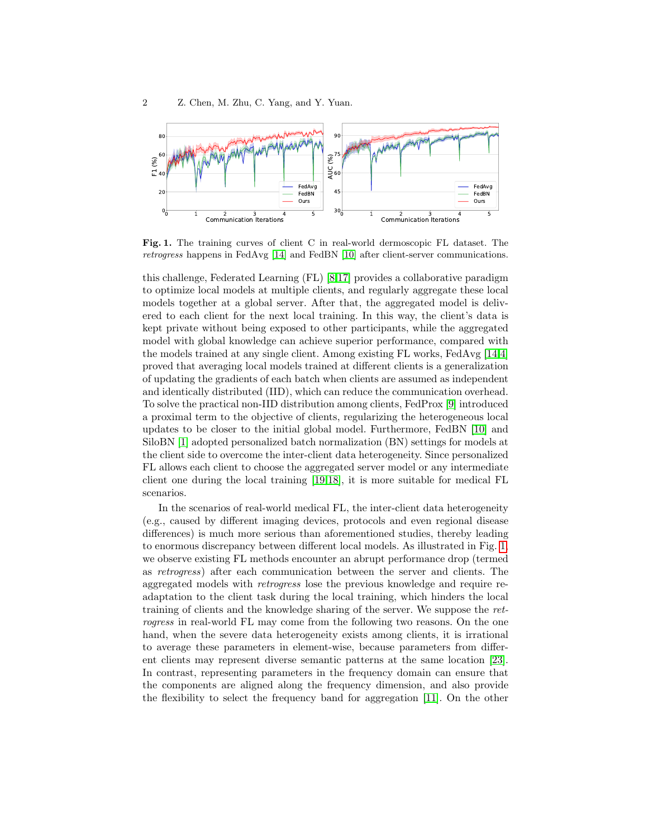

<span id="page-1-0"></span>Fig. 1. The training curves of client C in real-world dermoscopic FL dataset. The retrogress happens in FedAvg [\[14\]](#page-9-2) and FedBN [\[10\]](#page-8-4) after client-server communications.

this challenge, Federated Learning (FL) [\[8](#page-8-5)[,17\]](#page-9-3) provides a collaborative paradigm to optimize local models at multiple clients, and regularly aggregate these local models together at a global server. After that, the aggregated model is delivered to each client for the next local training. In this way, the client's data is kept private without being exposed to other participants, while the aggregated model with global knowledge can achieve superior performance, compared with the models trained at any single client. Among existing FL works, FedAvg [\[14,](#page-9-2)[4\]](#page-8-6) proved that averaging local models trained at different clients is a generalization of updating the gradients of each batch when clients are assumed as independent and identically distributed (IID), which can reduce the communication overhead. To solve the practical non-IID distribution among clients, FedProx [\[9\]](#page-8-7) introduced a proximal term to the objective of clients, regularizing the heterogeneous local updates to be closer to the initial global model. Furthermore, FedBN [\[10\]](#page-8-4) and SiloBN [\[1\]](#page-8-8) adopted personalized batch normalization (BN) settings for models at the client side to overcome the inter-client data heterogeneity. Since personalized FL allows each client to choose the aggregated server model or any intermediate client one during the local training [\[19,](#page-9-4)[18\]](#page-9-5), it is more suitable for medical FL scenarios.

In the scenarios of real-world medical FL, the inter-client data heterogeneity (e.g., caused by different imaging devices, protocols and even regional disease differences) is much more serious than aforementioned studies, thereby leading to enormous discrepancy between different local models. As illustrated in Fig. [1,](#page-1-0) we observe existing FL methods encounter an abrupt performance drop (termed as retrogress) after each communication between the server and clients. The aggregated models with retrogress lose the previous knowledge and require readaptation to the client task during the local training, which hinders the local training of clients and the knowledge sharing of the server. We suppose the retrogress in real-world FL may come from the following two reasons. On the one hand, when the severe data heterogeneity exists among clients, it is irrational to average these parameters in element-wise, because parameters from different clients may represent diverse semantic patterns at the same location [\[23\]](#page-9-6). In contrast, representing parameters in the frequency domain can ensure that the components are aligned along the frequency dimension, and also provide the flexibility to select the frequency band for aggregation [\[11\]](#page-8-9). On the other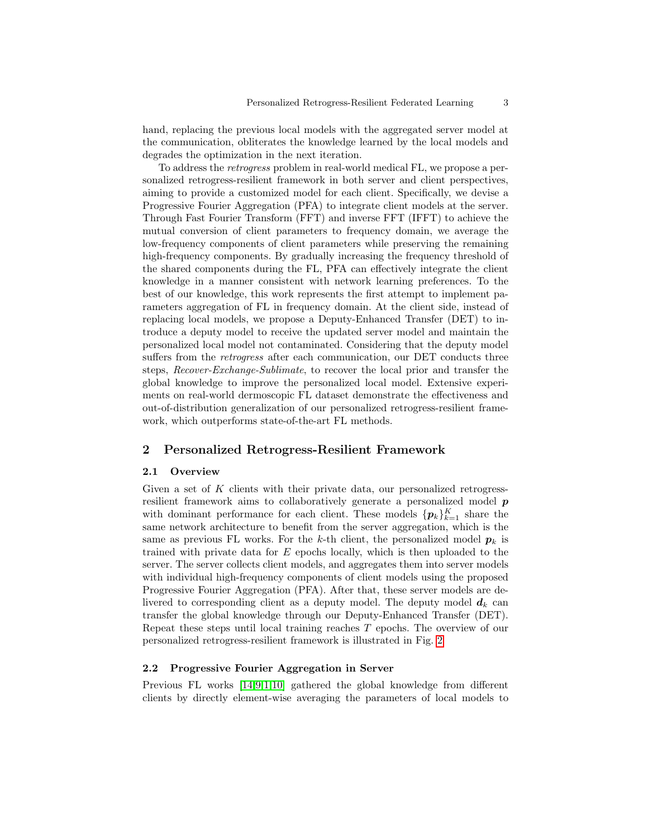hand, replacing the previous local models with the aggregated server model at the communication, obliterates the knowledge learned by the local models and degrades the optimization in the next iteration.

To address the retrogress problem in real-world medical FL, we propose a personalized retrogress-resilient framework in both server and client perspectives, aiming to provide a customized model for each client. Specifically, we devise a Progressive Fourier Aggregation (PFA) to integrate client models at the server. Through Fast Fourier Transform (FFT) and inverse FFT (IFFT) to achieve the mutual conversion of client parameters to frequency domain, we average the low-frequency components of client parameters while preserving the remaining high-frequency components. By gradually increasing the frequency threshold of the shared components during the FL, PFA can effectively integrate the client knowledge in a manner consistent with network learning preferences. To the best of our knowledge, this work represents the first attempt to implement parameters aggregation of FL in frequency domain. At the client side, instead of replacing local models, we propose a Deputy-Enhanced Transfer (DET) to introduce a deputy model to receive the updated server model and maintain the personalized local model not contaminated. Considering that the deputy model suffers from the *retrogress* after each communication, our DET conducts three steps, Recover-Exchange-Sublimate, to recover the local prior and transfer the global knowledge to improve the personalized local model. Extensive experiments on real-world dermoscopic FL dataset demonstrate the effectiveness and out-of-distribution generalization of our personalized retrogress-resilient framework, which outperforms state-of-the-art FL methods.

## 2 Personalized Retrogress-Resilient Framework

## 2.1 Overview

Given a set of  $K$  clients with their private data, our personalized retrogressresilient framework aims to collaboratively generate a personalized model  $p$ with dominant performance for each client. These models  $\{p_k\}_{k=1}^K$  share the same network architecture to benefit from the server aggregation, which is the same as previous FL works. For the k-th client, the personalized model  $p_k$  is trained with private data for E epochs locally, which is then uploaded to the server. The server collects client models, and aggregates them into server models with individual high-frequency components of client models using the proposed Progressive Fourier Aggregation (PFA). After that, these server models are delivered to corresponding client as a deputy model. The deputy model  $d_k$  can transfer the global knowledge through our Deputy-Enhanced Transfer (DET). Repeat these steps until local training reaches T epochs. The overview of our personalized retrogress-resilient framework is illustrated in Fig. [2](#page-3-0)

## 2.2 Progressive Fourier Aggregation in Server

Previous FL works [\[14,](#page-9-2)[9,](#page-8-7)[1](#page-8-8)[,10\]](#page-8-4) gathered the global knowledge from different clients by directly element-wise averaging the parameters of local models to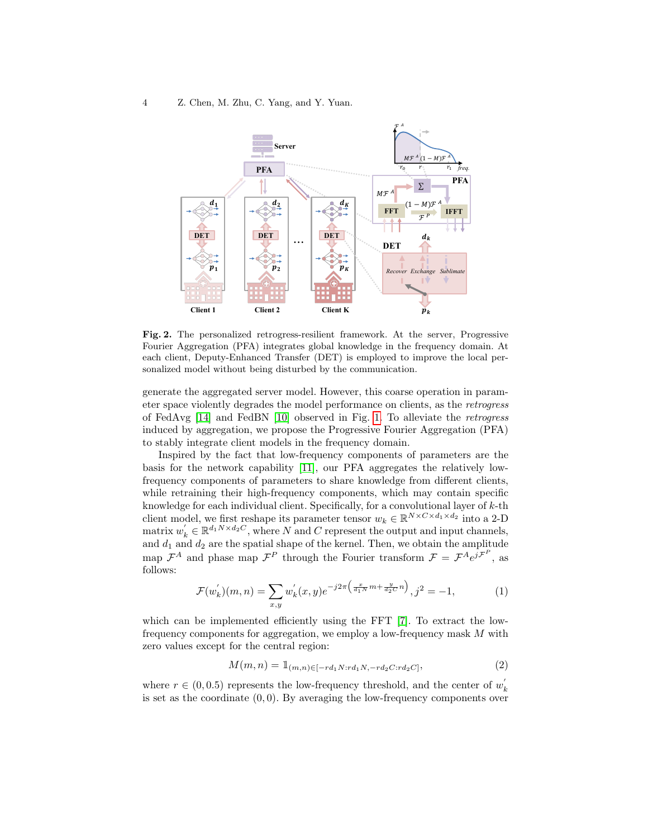#### 4 Z. Chen, M. Zhu, C. Yang, and Y. Yuan.



<span id="page-3-0"></span>Fig. 2. The personalized retrogress-resilient framework. At the server, Progressive Fourier Aggregation (PFA) integrates global knowledge in the frequency domain. At each client, Deputy-Enhanced Transfer (DET) is employed to improve the local personalized model without being disturbed by the communication.

generate the aggregated server model. However, this coarse operation in parameter space violently degrades the model performance on clients, as the retrogress of FedAvg [\[14\]](#page-9-2) and FedBN [\[10\]](#page-8-4) observed in Fig. [1.](#page-1-0) To alleviate the retrogress induced by aggregation, we propose the Progressive Fourier Aggregation (PFA) to stably integrate client models in the frequency domain.

Inspired by the fact that low-frequency components of parameters are the basis for the network capability [\[11\]](#page-8-9), our PFA aggregates the relatively lowfrequency components of parameters to share knowledge from different clients, while retraining their high-frequency components, which may contain specific knowledge for each individual client. Specifically, for a convolutional layer of  $k$ -th client model, we first reshape its parameter tensor  $w_k \in \mathbb{R}^{N \times C \times d_1 \times d_2}$  into a 2-D matrix  $w_k \in \mathbb{R}^{d_1 N \times d_2 C}$ , where N and C represent the output and input channels, and  $d_1$  and  $d_2$  are the spatial shape of the kernel. Then, we obtain the amplitude map  $\mathcal{F}^A$  and phase map  $\mathcal{F}^P$  through the Fourier transform  $\mathcal{F} = \mathcal{F}^A e^{j\mathcal{F}^P}$ , as follows:

$$
\mathcal{F}(w_k^{'})(m,n) = \sum_{x,y} w_k^{'}(x,y)e^{-j2\pi\left(\frac{x}{d_1N}m + \frac{y}{d_2C}n\right)}, j^2 = -1,\tag{1}
$$

which can be implemented efficiently using the FFT [\[7\]](#page-8-10). To extract the lowfrequency components for aggregation, we employ a low-frequency mask M with zero values except for the central region:

$$
M(m,n) = 1\!\!1_{(m,n)\in[-rd_1N:rd_1N,-rd_2C:rd_2C]},
$$
\n(2)

where  $r \in (0, 0.5)$  represents the low-frequency threshold, and the center of  $w'_{k}$ is set as the coordinate  $(0, 0)$ . By averaging the low-frequency components over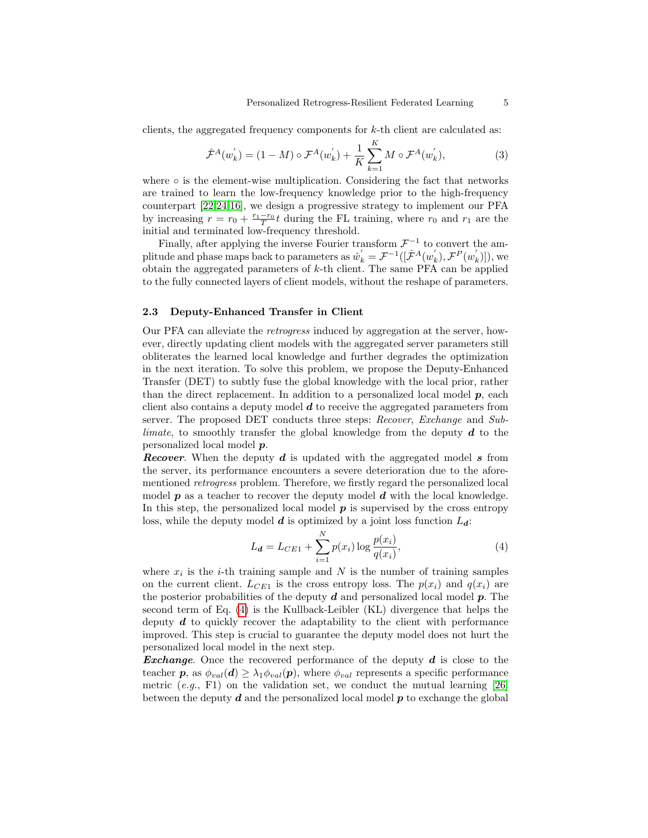clients, the aggregated frequency components for k-th client are calculated as:

$$
\hat{\mathcal{F}}^A(w_k') = (1 - M) \circ \mathcal{F}^A(w_k') + \frac{1}{K} \sum_{k=1}^K M \circ \mathcal{F}^A(w_k'),\tag{3}
$$

where  $\circ$  is the element-wise multiplication. Considering the fact that networks are trained to learn the low-frequency knowledge prior to the high-frequency counterpart [\[22,](#page-9-7)[24,](#page-9-8)[16\]](#page-9-9), we design a progressive strategy to implement our PFA by increasing  $r = r_0 + \frac{r_1 - r_0}{T}t$  during the FL training, where  $r_0$  and  $r_1$  are the initial and terminated low-frequency threshold.

Finally, after applying the inverse Fourier transform  $\mathcal{F}^{-1}$  to convert the amplitude and phase maps back to parameters as  $\hat{w}'_k = \mathcal{F}^{-1}([\hat{\mathcal{F}}^A(w'_k), \mathcal{F}^P(w'_k)]$ , we obtain the aggregated parameters of  $k$ -th client. The same PFA can be applied to the fully connected layers of client models, without the reshape of parameters.

## 2.3 Deputy-Enhanced Transfer in Client

Our PFA can alleviate the retrogress induced by aggregation at the server, however, directly updating client models with the aggregated server parameters still obliterates the learned local knowledge and further degrades the optimization in the next iteration. To solve this problem, we propose the Deputy-Enhanced Transfer (DET) to subtly fuse the global knowledge with the local prior, rather than the direct replacement. In addition to a personalized local model  $p$ , each client also contains a deputy model  $\boldsymbol{d}$  to receive the aggregated parameters from server. The proposed DET conducts three steps: Recover, Exchange and Sub*limate*, to smoothly transfer the global knowledge from the deputy  $\boldsymbol{d}$  to the personalized local model p.

**Recover.** When the deputy  $d$  is updated with the aggregated model s from the server, its performance encounters a severe deterioration due to the aforementioned retrogress problem. Therefore, we firstly regard the personalized local model  $p$  as a teacher to recover the deputy model  $d$  with the local knowledge. In this step, the personalized local model  $p$  is supervised by the cross entropy loss, while the deputy model  $d$  is optimized by a joint loss function  $L_d$ :

<span id="page-4-0"></span>
$$
L_{\mathbf{d}} = L_{CE1} + \sum_{i=1}^{N} p(x_i) \log \frac{p(x_i)}{q(x_i)},
$$
\n(4)

where  $x_i$  is the *i*-th training sample and N is the number of training samples on the current client.  $L_{CE1}$  is the cross entropy loss. The  $p(x_i)$  and  $q(x_i)$  are the posterior probabilities of the deputy  $\boldsymbol{d}$  and personalized local model  $\boldsymbol{p}$ . The second term of Eq. [\(4\)](#page-4-0) is the Kullback-Leibler (KL) divergence that helps the deputy  $d$  to quickly recover the adaptability to the client with performance improved. This step is crucial to guarantee the deputy model does not hurt the personalized local model in the next step.

**Exchange.** Once the recovered performance of the deputy  $d$  is close to the teacher **p**, as  $\phi_{val}(d) \geq \lambda_1 \phi_{val}(p)$ , where  $\phi_{val}$  represents a specific performance metric  $(e.g., F1)$  on the validation set, we conduct the mutual learning [\[26\]](#page-9-10) between the deputy  $d$  and the personalized local model  $p$  to exchange the global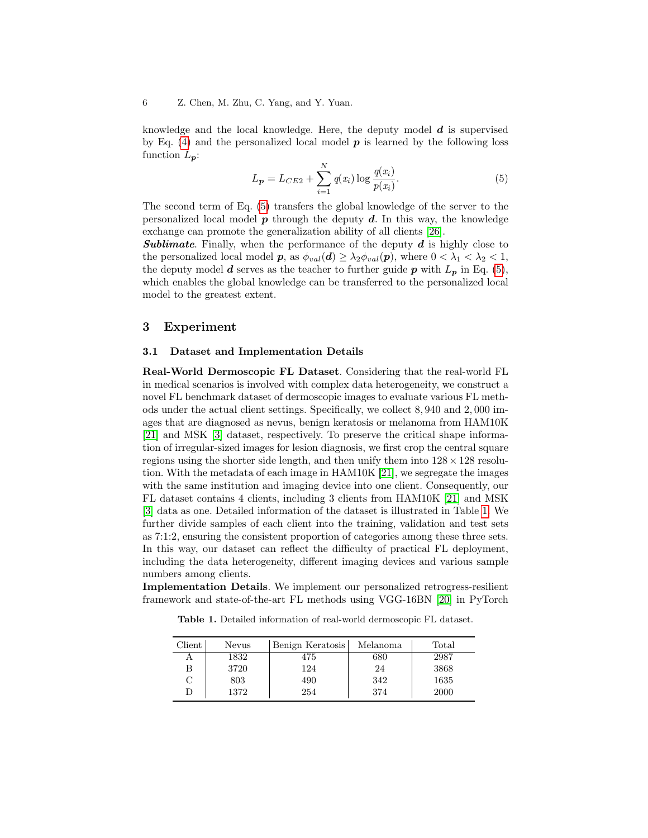6 Z. Chen, M. Zhu, C. Yang, and Y. Yuan.

knowledge and the local knowledge. Here, the deputy model  $\boldsymbol{d}$  is supervised by Eq.  $(4)$  and the personalized local model  $p$  is learned by the following loss function  $L_p$ :

<span id="page-5-0"></span>
$$
L_{\mathbf{p}} = L_{CE2} + \sum_{i=1}^{N} q(x_i) \log \frac{q(x_i)}{p(x_i)}.
$$
 (5)

The second term of Eq. [\(5\)](#page-5-0) transfers the global knowledge of the server to the personalized local model  $p$  through the deputy  $d$ . In this way, the knowledge exchange can promote the generalization ability of all clients [\[26\]](#page-9-10).

**Sublimate.** Finally, when the performance of the deputy  $d$  is highly close to the personalized local model **p**, as  $\phi_{val}(\boldsymbol{d}) \geq \lambda_2 \phi_{val}(\boldsymbol{p})$ , where  $0 < \lambda_1 < \lambda_2 < 1$ , the deputy model **d** serves as the teacher to further guide **p** with  $L_p$  in Eq. [\(5\)](#page-5-0), which enables the global knowledge can be transferred to the personalized local model to the greatest extent.

# 3 Experiment

### 3.1 Dataset and Implementation Details

Real-World Dermoscopic FL Dataset. Considering that the real-world FL in medical scenarios is involved with complex data heterogeneity, we construct a novel FL benchmark dataset of dermoscopic images to evaluate various FL methods under the actual client settings. Specifically, we collect 8, 940 and 2, 000 images that are diagnosed as nevus, benign keratosis or melanoma from HAM10K [\[21\]](#page-9-11) and MSK [\[3\]](#page-8-11) dataset, respectively. To preserve the critical shape information of irregular-sized images for lesion diagnosis, we first crop the central square regions using the shorter side length, and then unify them into  $128 \times 128$  resolution. With the metadata of each image in HAM10K [\[21\]](#page-9-11), we segregate the images with the same institution and imaging device into one client. Consequently, our FL dataset contains 4 clients, including 3 clients from HAM10K [\[21\]](#page-9-11) and MSK [\[3\]](#page-8-11) data as one. Detailed information of the dataset is illustrated in Table [1.](#page-5-1) We further divide samples of each client into the training, validation and test sets as 7:1:2, ensuring the consistent proportion of categories among these three sets. In this way, our dataset can reflect the difficulty of practical FL deployment, including the data heterogeneity, different imaging devices and various sample numbers among clients.

Implementation Details. We implement our personalized retrogress-resilient framework and state-of-the-art FL methods using VGG-16BN [\[20\]](#page-9-12) in PyTorch

| Client | Nevus | Benign Keratosis | Melanoma | Total |
|--------|-------|------------------|----------|-------|
| Α      | 1832  | 475              | 680      | 2987  |
| В      | 3720  | 124              | 24       | 3868  |
|        | 803   | 490              | 342      | 1635  |
|        | 1372  | 254              | 374      | 2000  |

<span id="page-5-1"></span>Table 1. Detailed information of real-world dermoscopic FL dataset.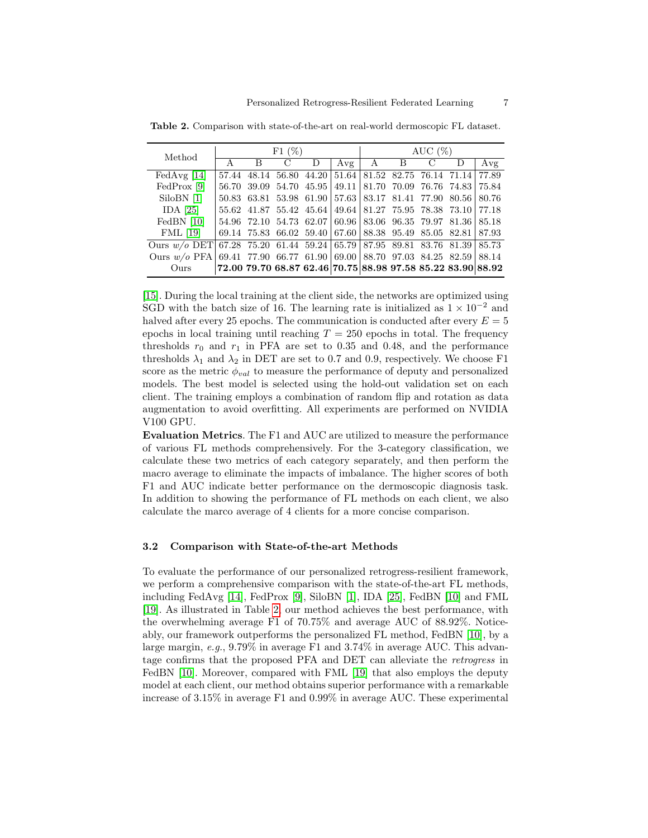| Method                                                                     | F1(%) |   |               |  | AUC $(\%)$                                                                              |  |       |  |   |       |
|----------------------------------------------------------------------------|-------|---|---------------|--|-----------------------------------------------------------------------------------------|--|-------|--|---|-------|
|                                                                            | А     | B | $\mathcal{C}$ |  | Avg                                                                                     |  | A B C |  | D | Avg   |
| FedAvg $[14]$                                                              |       |   |               |  | 57.44 48.14 56.80 44.20 51.64 81.52 82.75 76.14 71.14 77.89                             |  |       |  |   |       |
| FedProx [9]                                                                |       |   |               |  | 56.70 39.09 54.70 45.95 49.11 81.70 70.09 76.76 74.83 75.84                             |  |       |  |   |       |
| SiloBN [1]                                                                 |       |   |               |  | 50.83 63.81 53.98 61.90 57.63 83.17 81.41 77.90 80.56                                   |  |       |  |   | 80.76 |
| IDA $[25]$                                                                 |       |   |               |  | 55.62 41.87 55.42 45.64 49.64 81.27 75.95 78.38 73.10 77.18                             |  |       |  |   |       |
| FedBN $[10]$                                                               |       |   |               |  | $\mid$ 54.96 72.10 54.73 62.07 60.96 83.06 96.35 79.97 81.36                            |  |       |  |   | 85.18 |
| FML [19]                                                                   |       |   |               |  | 69.14 75.83 66.02 59.40 67.60 88.38 95.49 85.05 82.81 87.93                             |  |       |  |   |       |
| Ours $w/o$ DET 67.28 75.20 61.44 59.24 65.79 87.95 89.81 83.76 81.39       |       |   |               |  |                                                                                         |  |       |  |   | 85.73 |
| Ours $w/o$ PFA 69.41 77.90 66.77 61.90 69.00 88.70 97.03 84.25 82.59 88.14 |       |   |               |  |                                                                                         |  |       |  |   |       |
| Ours                                                                       |       |   |               |  | $\mid$ 72.00 79.70 68.87 62.46 $\mid$ 70.75 $\mid$ 88.98 97.58 85.22 83.90 $\mid$ 88.92 |  |       |  |   |       |

<span id="page-6-0"></span>Table 2. Comparison with state-of-the-art on real-world dermoscopic FL dataset.

[\[15\]](#page-9-14). During the local training at the client side, the networks are optimized using SGD with the batch size of 16. The learning rate is initialized as  $1 \times 10^{-2}$  and halved after every 25 epochs. The communication is conducted after every  $E = 5$ epochs in local training until reaching  $T = 250$  epochs in total. The frequency thresholds  $r_0$  and  $r_1$  in PFA are set to 0.35 and 0.48, and the performance thresholds  $\lambda_1$  and  $\lambda_2$  in DET are set to 0.7 and 0.9, respectively. We choose F1 score as the metric  $\phi_{val}$  to measure the performance of deputy and personalized models. The best model is selected using the hold-out validation set on each client. The training employs a combination of random flip and rotation as data augmentation to avoid overfitting. All experiments are performed on NVIDIA V100 GPU.

Evaluation Metrics. The F1 and AUC are utilized to measure the performance of various FL methods comprehensively. For the 3-category classification, we calculate these two metrics of each category separately, and then perform the macro average to eliminate the impacts of imbalance. The higher scores of both F1 and AUC indicate better performance on the dermoscopic diagnosis task. In addition to showing the performance of FL methods on each client, we also calculate the marco average of 4 clients for a more concise comparison.

#### 3.2 Comparison with State-of-the-art Methods

To evaluate the performance of our personalized retrogress-resilient framework, we perform a comprehensive comparison with the state-of-the-art FL methods, including FedAvg [\[14\]](#page-9-2), FedProx [\[9\]](#page-8-7), SiloBN [\[1\]](#page-8-8), IDA [\[25\]](#page-9-13), FedBN [\[10\]](#page-8-4) and FML [\[19\]](#page-9-4). As illustrated in Table [2,](#page-6-0) our method achieves the best performance, with the overwhelming average F1 of 70.75% and average AUC of 88.92%. Noticeably, our framework outperforms the personalized FL method, FedBN [\[10\]](#page-8-4), by a large margin, e.g.,  $9.79\%$  in average F1 and  $3.74\%$  in average AUC. This advantage confirms that the proposed PFA and DET can alleviate the retrogress in FedBN [\[10\]](#page-8-4). Moreover, compared with FML [\[19\]](#page-9-4) that also employs the deputy model at each client, our method obtains superior performance with a remarkable increase of 3.15% in average F1 and 0.99% in average AUC. These experimental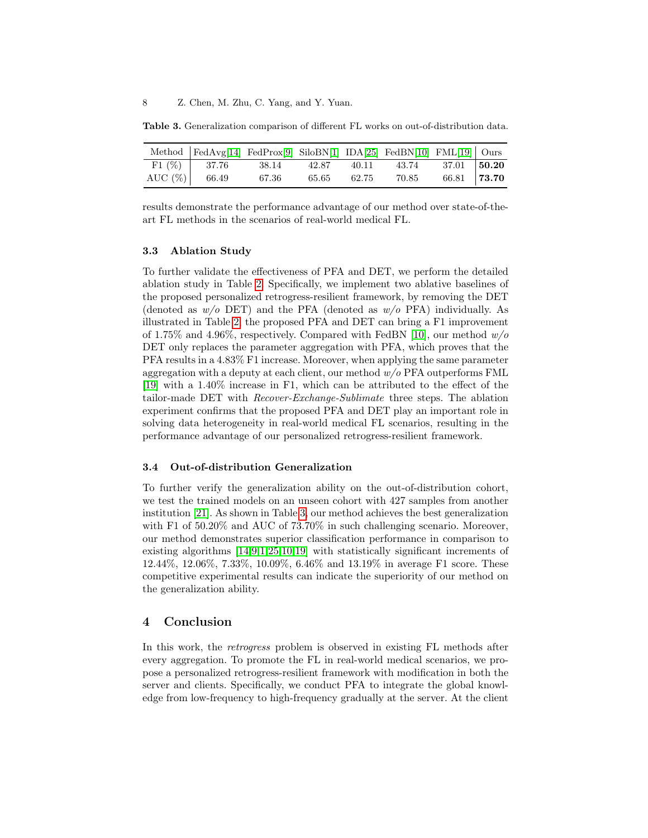<span id="page-7-0"></span>Table 3. Generalization comparison of different FL works on out-of-distribution data.

|                  | Method   FedAvg[14] FedProx[9] SiloBN[1] IDA[25] FedBN[10] FML[19] $\vert$ Ours |       |       |                   |                      |  |
|------------------|---------------------------------------------------------------------------------|-------|-------|-------------------|----------------------|--|
| $F1(%)$ 37.76    |                                                                                 | 38.14 | 42.87 | 40.11 43.74       | $37.01$   $50.20$    |  |
| AUC $(\%)$ 66.49 |                                                                                 | 67.36 |       | 65.65 62.75 70.85 | 66.81   <b>73.70</b> |  |

results demonstrate the performance advantage of our method over state-of-theart FL methods in the scenarios of real-world medical FL.

#### 3.3 Ablation Study

To further validate the effectiveness of PFA and DET, we perform the detailed ablation study in Table [2.](#page-6-0) Specifically, we implement two ablative baselines of the proposed personalized retrogress-resilient framework, by removing the DET (denoted as  $w/o$  DET) and the PFA (denoted as  $w/o$  PFA) individually. As illustrated in Table [2,](#page-6-0) the proposed PFA and DET can bring a F1 improvement of 1.75% and 4.96%, respectively. Compared with FedBN [\[10\]](#page-8-4), our method  $w/o$ DET only replaces the parameter aggregation with PFA, which proves that the PFA results in a 4.83% F1 increase. Moreover, when applying the same parameter aggregation with a deputy at each client, our method  $w/o$  PFA outperforms FML [\[19\]](#page-9-4) with a 1.40% increase in F1, which can be attributed to the effect of the tailor-made DET with Recover-Exchange-Sublimate three steps. The ablation experiment confirms that the proposed PFA and DET play an important role in solving data heterogeneity in real-world medical FL scenarios, resulting in the performance advantage of our personalized retrogress-resilient framework.

#### 3.4 Out-of-distribution Generalization

To further verify the generalization ability on the out-of-distribution cohort, we test the trained models on an unseen cohort with 427 samples from another institution [\[21\]](#page-9-11). As shown in Table [3,](#page-7-0) our method achieves the best generalization with F1 of 50.20% and AUC of 73.70% in such challenging scenario. Moreover, our method demonstrates superior classification performance in comparison to existing algorithms [\[14,](#page-9-2)[9,](#page-8-7)[1,](#page-8-8)[25](#page-9-13)[,10,](#page-8-4)[19\]](#page-9-4) with statistically significant increments of 12.44%, 12.06%, 7.33%, 10.09%, 6.46% and 13.19% in average F1 score. These competitive experimental results can indicate the superiority of our method on the generalization ability.

# 4 Conclusion

In this work, the retrogress problem is observed in existing FL methods after every aggregation. To promote the FL in real-world medical scenarios, we propose a personalized retrogress-resilient framework with modification in both the server and clients. Specifically, we conduct PFA to integrate the global knowledge from low-frequency to high-frequency gradually at the server. At the client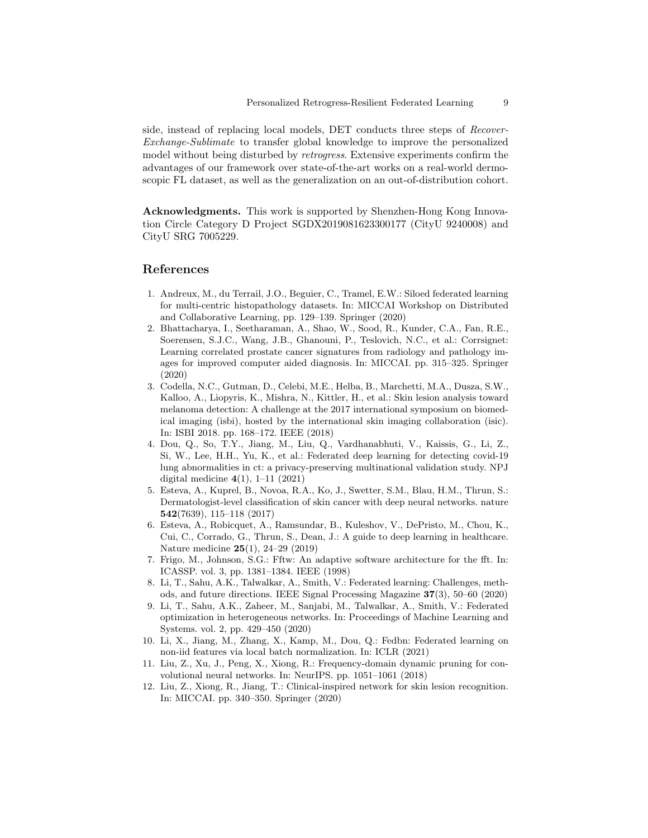side, instead of replacing local models, DET conducts three steps of Recover-Exchange-Sublimate to transfer global knowledge to improve the personalized model without being disturbed by retrogress. Extensive experiments confirm the advantages of our framework over state-of-the-art works on a real-world dermoscopic FL dataset, as well as the generalization on an out-of-distribution cohort.

Acknowledgments. This work is supported by Shenzhen-Hong Kong Innovation Circle Category D Project SGDX2019081623300177 (CityU 9240008) and CityU SRG 7005229.

# References

- <span id="page-8-8"></span>1. Andreux, M., du Terrail, J.O., Beguier, C., Tramel, E.W.: Siloed federated learning for multi-centric histopathology datasets. In: MICCAI Workshop on Distributed and Collaborative Learning, pp. 129–139. Springer (2020)
- <span id="page-8-1"></span>2. Bhattacharya, I., Seetharaman, A., Shao, W., Sood, R., Kunder, C.A., Fan, R.E., Soerensen, S.J.C., Wang, J.B., Ghanouni, P., Teslovich, N.C., et al.: Corrsignet: Learning correlated prostate cancer signatures from radiology and pathology images for improved computer aided diagnosis. In: MICCAI. pp. 315–325. Springer (2020)
- <span id="page-8-11"></span>3. Codella, N.C., Gutman, D., Celebi, M.E., Helba, B., Marchetti, M.A., Dusza, S.W., Kalloo, A., Liopyris, K., Mishra, N., Kittler, H., et al.: Skin lesion analysis toward melanoma detection: A challenge at the 2017 international symposium on biomedical imaging (isbi), hosted by the international skin imaging collaboration (isic). In: ISBI 2018. pp. 168–172. IEEE (2018)
- <span id="page-8-6"></span>4. Dou, Q., So, T.Y., Jiang, M., Liu, Q., Vardhanabhuti, V., Kaissis, G., Li, Z., Si, W., Lee, H.H., Yu, K., et al.: Federated deep learning for detecting covid-19 lung abnormalities in ct: a privacy-preserving multinational validation study. NPJ digital medicine  $4(1)$ , 1–11 (2021)
- <span id="page-8-3"></span>5. Esteva, A., Kuprel, B., Novoa, R.A., Ko, J., Swetter, S.M., Blau, H.M., Thrun, S.: Dermatologist-level classification of skin cancer with deep neural networks. nature 542(7639), 115–118 (2017)
- <span id="page-8-0"></span>6. Esteva, A., Robicquet, A., Ramsundar, B., Kuleshov, V., DePristo, M., Chou, K., Cui, C., Corrado, G., Thrun, S., Dean, J.: A guide to deep learning in healthcare. Nature medicine 25(1), 24–29 (2019)
- <span id="page-8-10"></span>7. Frigo, M., Johnson, S.G.: Fftw: An adaptive software architecture for the fft. In: ICASSP. vol. 3, pp. 1381–1384. IEEE (1998)
- <span id="page-8-5"></span>8. Li, T., Sahu, A.K., Talwalkar, A., Smith, V.: Federated learning: Challenges, methods, and future directions. IEEE Signal Processing Magazine 37(3), 50–60 (2020)
- <span id="page-8-7"></span>9. Li, T., Sahu, A.K., Zaheer, M., Sanjabi, M., Talwalkar, A., Smith, V.: Federated optimization in heterogeneous networks. In: Proceedings of Machine Learning and Systems. vol. 2, pp. 429–450 (2020)
- <span id="page-8-4"></span>10. Li, X., Jiang, M., Zhang, X., Kamp, M., Dou, Q.: Fedbn: Federated learning on non-iid features via local batch normalization. In: ICLR (2021)
- <span id="page-8-9"></span>11. Liu, Z., Xu, J., Peng, X., Xiong, R.: Frequency-domain dynamic pruning for convolutional neural networks. In: NeurIPS. pp. 1051–1061 (2018)
- <span id="page-8-2"></span>12. Liu, Z., Xiong, R., Jiang, T.: Clinical-inspired network for skin lesion recognition. In: MICCAI. pp. 340–350. Springer (2020)